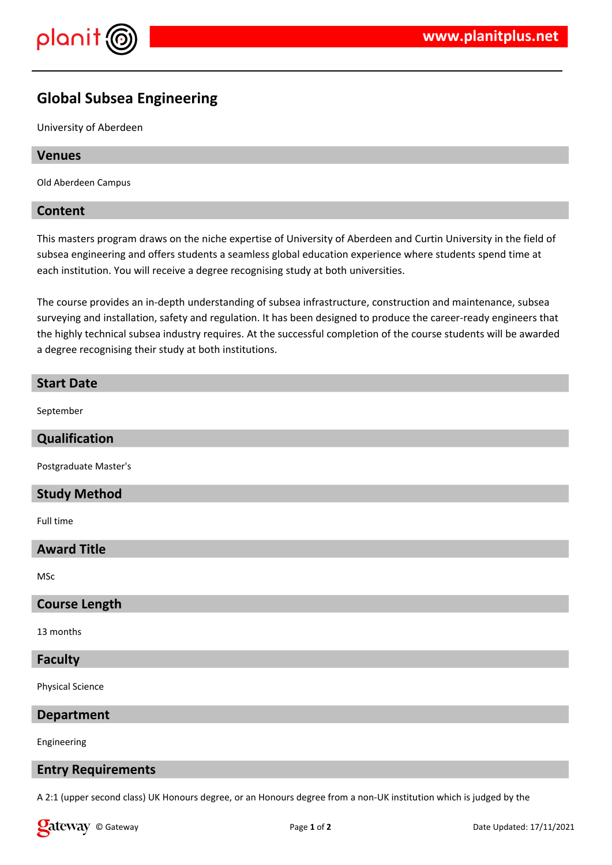

# **Global Subsea Engineering**

University of Aberdeen

#### **Venues**

Old Aberdeen Campus

#### **Content**

This masters program draws on the niche expertise of University of Aberdeen and Curtin University in the field of subsea engineering and offers students a seamless global education experience where students spend time at each institution. You will receive a degree recognising study at both universities.

The course provides an in-depth understanding of subsea infrastructure, construction and maintenance, subsea surveying and installation, safety and regulation. It has been designed to produce the career-ready engineers that the highly technical subsea industry requires. At the successful completion of the course students will be awarded a degree recognising their study at both institutions.

## **Start Date**

September

## **Qualification**

Postgraduate Master's

## **Study Method**

Full time

## **Award Title**

MSc

#### **Course Length**

13 months

## **Faculty**

Physical Science

**Department**

Engineering

#### **Entry Requirements**

A 2:1 (upper second class) UK Honours degree, or an Honours degree from a non-UK institution which is judged by the